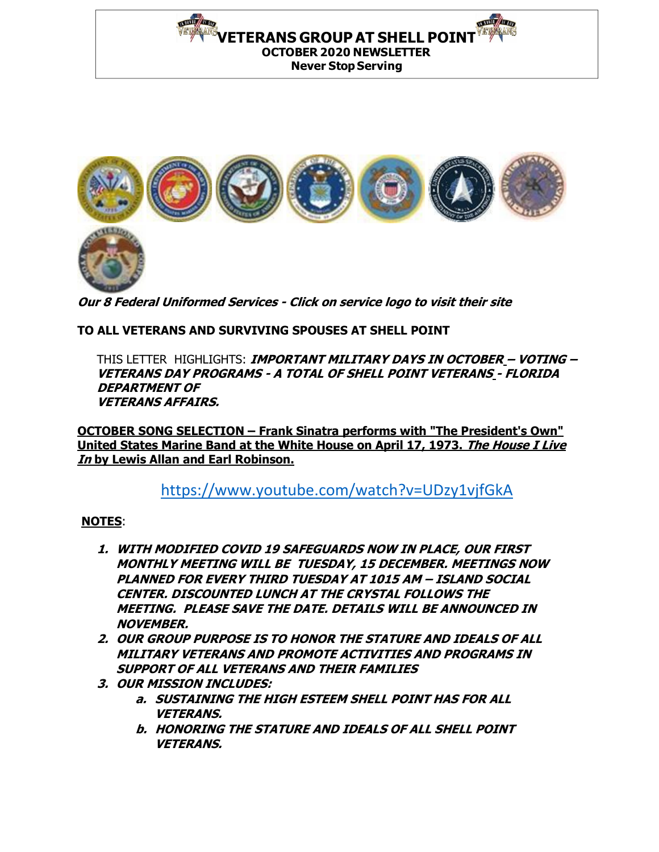THE REAL PROPERTY. **VETERANS GROUP AT SHELL POINT OCTOBER 2020 NEWSLETTER Never Stop Serving**



**Our 8 Federal Uniformed Services - Click on service logo to visit their site**

## **TO ALL VETERANS AND SURVIVING SPOUSES AT SHELL POINT**

IN HEALTH AT OUR

THIS LETTER HIGHLIGHTS: **IMPORTANT MILITARY DAYS IN OCTOBER – VOTING – VETERANS DAY PROGRAMS - A TOTAL OF SHELL POINT VETERANS - FLORIDA DEPARTMENT OF VETERANS AFFAIRS.**

**OCTOBER SONG SELECTION – Frank Sinatra performs with "The President's Own" United States Marine Band at the White House on April 17, 1973. The House I Live In by Lewis Allan and Earl Robinson.**

<https://www.youtube.com/watch?v=UDzy1vjfGkA>

## **NOTES**:

- **1. WITH MODIFIED COVID 19 SAFEGUARDS NOW IN PLACE, OUR FIRST MONTHLY MEETING WILL BE TUESDAY, 15 DECEMBER. MEETINGS NOW PLANNED FOR EVERY THIRD TUESDAY AT 1015 AM – ISLAND SOCIAL CENTER. DISCOUNTED LUNCH AT THE CRYSTAL FOLLOWS THE MEETING. PLEASE SAVE THE DATE. DETAILS WILL BE ANNOUNCED IN NOVEMBER.**
- **2. OUR GROUP PURPOSE IS TO HONOR THE STATURE AND IDEALS OF ALL MILITARY VETERANS AND PROMOTE ACTIVITIES AND PROGRAMS IN SUPPORT OF ALL VETERANS AND THEIR FAMILIES**
- **3. OUR MISSION INCLUDES:** 
	- **a. SUSTAINING THE HIGH ESTEEM SHELL POINT HAS FOR ALL VETERANS.**
	- **b. HONORING THE STATURE AND IDEALS OF ALL SHELL POINT VETERANS.**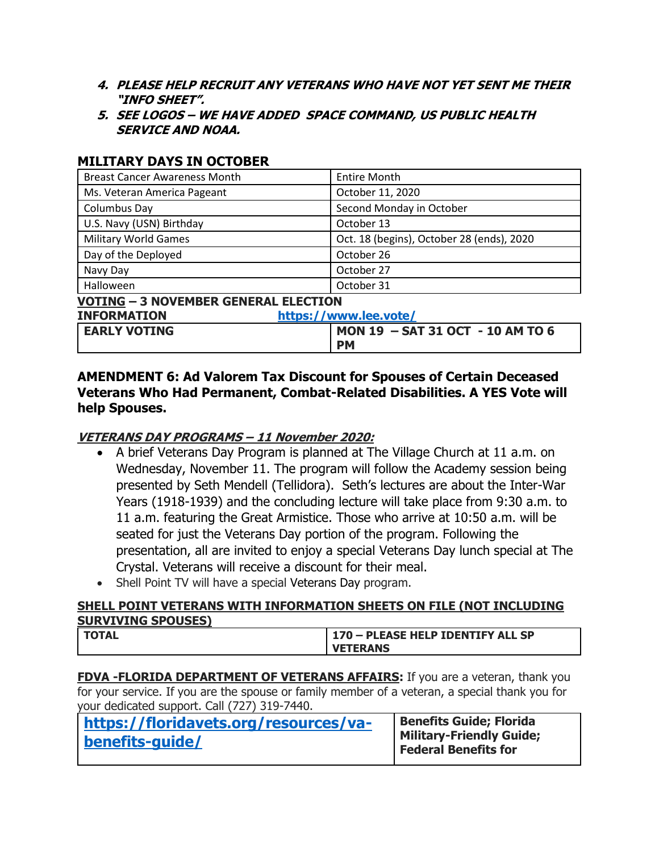- **4. PLEASE HELP RECRUIT ANY VETERANS WHO HAVE NOT YET SENT ME THEIR "INFO SHEET".**
- **5. SEE LOGOS – WE HAVE ADDED SPACE COMMAND, US PUBLIC HEALTH SERVICE AND NOAA.**

# **MILITARY DAYS IN OCTOBER**

| <b>Breast Cancer Awareness Month</b>        | <b>Entire Month</b>                       |  |
|---------------------------------------------|-------------------------------------------|--|
| Ms. Veteran America Pageant                 | October 11, 2020                          |  |
| Columbus Day                                | Second Monday in October                  |  |
| U.S. Navy (USN) Birthday                    | October 13                                |  |
| <b>Military World Games</b>                 | Oct. 18 (begins), October 28 (ends), 2020 |  |
| Day of the Deployed                         | October 26                                |  |
| Navy Day                                    | October 27                                |  |
| Halloween                                   | October 31                                |  |
| <b>VOTING - 3 NOVEMBER GENERAL ELECTION</b> |                                           |  |
| <b>INFORMATION</b><br>https://www.lee.vote/ |                                           |  |
| <b>EARLY VOTING</b>                         | MON 19 - SAT 31 OCT - 10 AM TO 6          |  |
|                                             | <b>PM</b>                                 |  |

## **AMENDMENT 6: Ad Valorem Tax Discount for Spouses of Certain Deceased Veterans Who Had Permanent, Combat-Related Disabilities. A YES Vote will help Spouses.**

## **VETERANS DAY PROGRAMS – 11 November 2020:**

- A brief Veterans Day Program is planned at The Village Church at 11 a.m. on Wednesday, November 11. The program will follow the Academy session being presented by Seth Mendell (Tellidora). Seth's lectures are about the Inter-War Years (1918-1939) and the concluding lecture will take place from 9:30 a.m. to 11 a.m. featuring the Great Armistice. Those who arrive at 10:50 a.m. will be seated for just the Veterans Day portion of the program. Following the presentation, all are invited to enjoy a special Veterans Day lunch special at The Crystal. Veterans will receive a discount for their meal.
- Shell Point TV will have a special Veterans Day program.

## **SHELL POINT VETERANS WITH INFORMATION SHEETS ON FILE (NOT INCLUDING SURVIVING SPOUSES)**

| <b>TOTAL</b> | 170 - PLEASE HELP IDENTIFY ALL SP |
|--------------|-----------------------------------|
|              | <b>VETERANS</b>                   |

**FDVA -FLORIDA DEPARTMENT OF VETERANS AFFAIRS:** If you are a veteran, thank you for your service. If you are the spouse or family member of a veteran, a special thank you for your dedicated support. Call (727) 319-7440.

| https://floridavets.org/resources/va- | <b>Benefits Guide; Florida</b>                          |
|---------------------------------------|---------------------------------------------------------|
| benefits-quide/                       | Military-Friendly Guide;<br><b>Federal Benefits for</b> |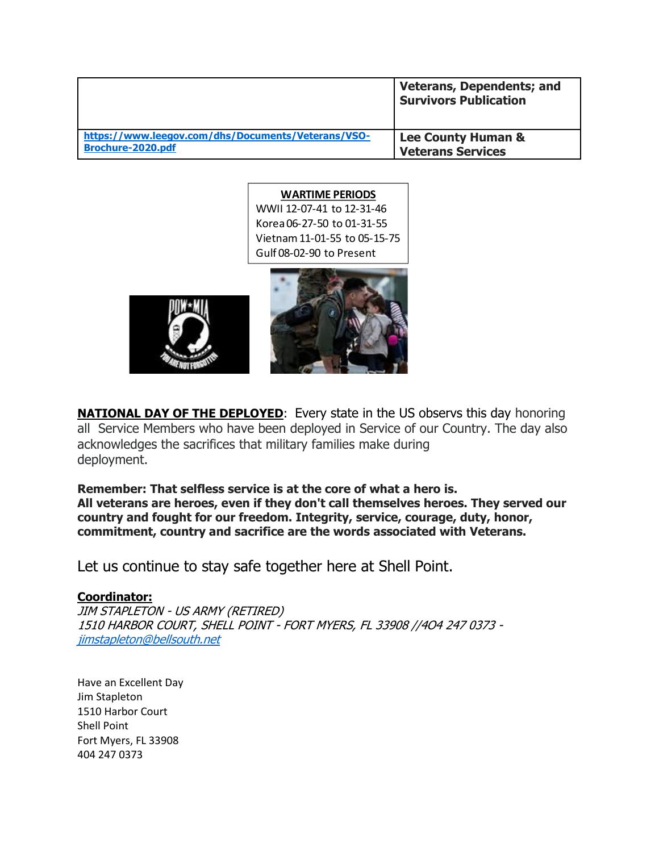|                                                    | <b>Veterans, Dependents; and</b><br><b>Survivors Publication</b> |
|----------------------------------------------------|------------------------------------------------------------------|
| https://www.leegov.com/dhs/Documents/Veterans/VSO- | <b>Lee County Human &amp;</b>                                    |
| <b>Brochure-2020.pdf</b>                           | <b>Veterans Services</b>                                         |

#### **WARTIME PERIODS**

WWII 12-07-41 to 12-31-46 Korea 06-27-50 to 01-31-55 Vietnam 11-01-55 to 05-15-75 Gulf 08-02-90 to Present





**NATIONAL DAY OF THE DEPLOYED:** Every state in the US observs this day honoring all Service Members who have been deployed in Service of our Country. The day also acknowledges the sacrifices that military families make during deployment.

**Remember: That selfless service is at the core of what a hero is. All veterans are heroes, even if they don't call themselves heroes. They served our country and fought for our freedom. Integrity, service, courage, duty, honor, commitment, country and sacrifice are the words associated with Veterans.**

Let us continue to stay safe together here at Shell Point.

#### **Coordinator:**

JIM STAPLETON - US ARMY (RETIRED) 1510 HARBOR COURT, SHELL POINT - FORT MYERS, FL 33908 //4O4 247 0373 [jimstapleton@bellsouth.net](mailto:jimstapleton@bellsouth.net)

Have an Excellent Day Jim Stapleton 1510 Harbor Court Shell Point Fort Myers, FL 33908 404 247 0373